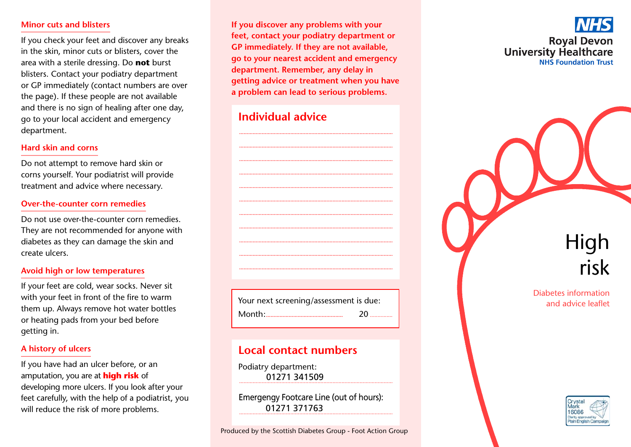#### **Minor cuts and blisters**

If you check your feet and discover any breaks in the skin, minor cuts or blisters, cover the area with a sterile dressing. Do not burst blisters. Contact your podiatry department or GP immediately (contact numbers are over the page). If these people are not available and there is no sign of healing after one day, go to your local accident and emergency department.

#### Hard skin and corns

Do not attempt to remove hard skin or corns yourself. Your podiatrist will provide treatment and advice where necessary.

#### Over-the-counter corn remedies

Do not use over-the-counter corn remedies. They are not recommended for anyone with diabetes as they can damage the skin and create ulcers.

#### Avoid high or low temperatures

If your feet are cold, wear socks. Never sit with your feet in front of the fire to warm them up. Always remove hot water bottles or heating pads from your bed before getting in.

#### A history of ulcers

If you have had an ulcer before, or an amputation, you are at **high risk** of developing more ulcers. If you look after your feet carefully, with the help of a podiatrist, you will reduce the risk of more problems.

If you discover any problems with your feet, contact your podiatry department or GP immediately. If they are not available, go to your nearest accident and emergency department. Remember, any delay in getting advice or treatment when you have a problem can lead to serious problems.

## Individual advice

Your next screening/assessment is due:  $20^{\circ}$ 

# Local contact numbers

Podiatry department: 01271 341509

Emergengy Footcare Line (out of hours): 01271 371763

# Diabetes information and advice leaflet

High